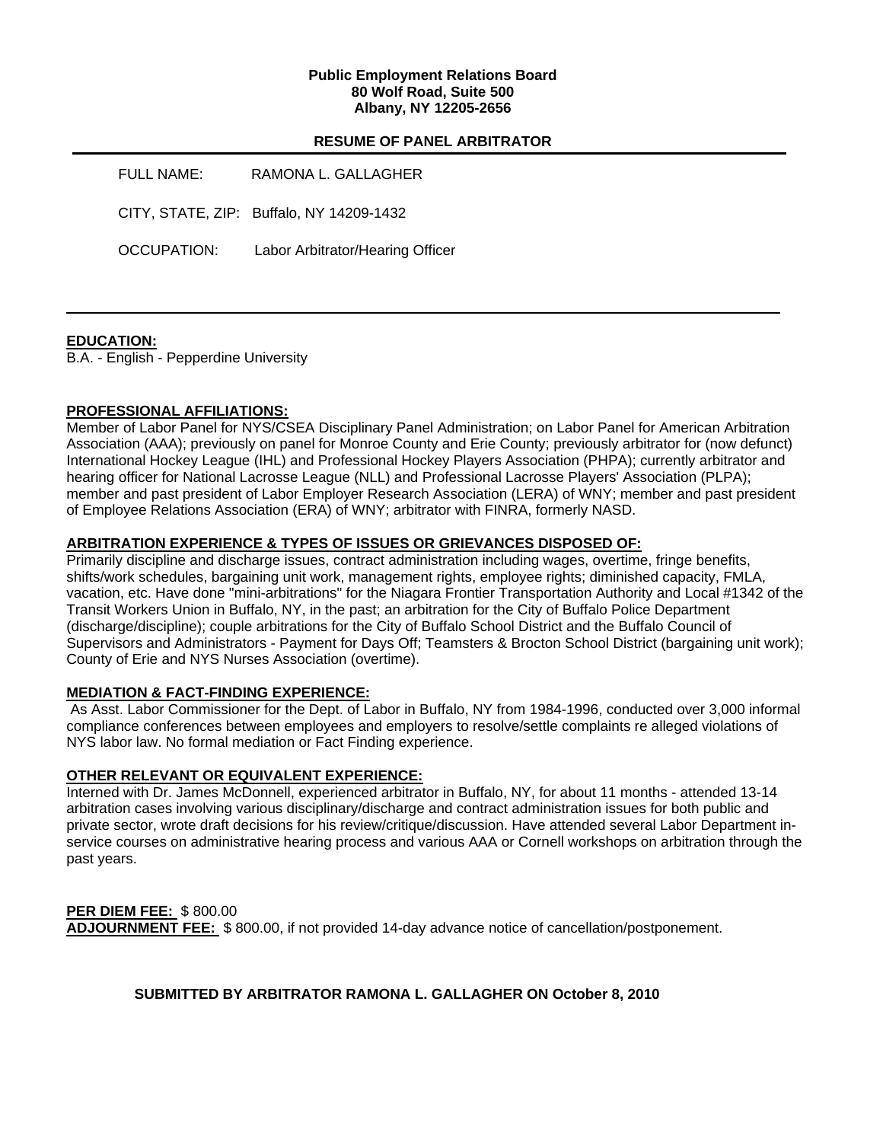### **Public Employment Relations Board 80 Wolf Road, Suite 500 Albany, NY 12205-2656**

# **RESUME OF PANEL ARBITRATOR**

| <b>FULL NAME:</b>  | RAMONA L. GALLAGHER                      |
|--------------------|------------------------------------------|
|                    | CITY, STATE, ZIP: Buffalo, NY 14209-1432 |
| <b>OCCUPATION:</b> | Labor Arbitrator/Hearing Officer         |

## **EDUCATION:**

B.A. - English - Pepperdine University

## **PROFESSIONAL AFFILIATIONS:**

Member of Labor Panel for NYS/CSEA Disciplinary Panel Administration; on Labor Panel for American Arbitration Association (AAA); previously on panel for Monroe County and Erie County; previously arbitrator for (now defunct) International Hockey League (IHL) and Professional Hockey Players Association (PHPA); currently arbitrator and hearing officer for National Lacrosse League (NLL) and Professional Lacrosse Players' Association (PLPA); member and past president of Labor Employer Research Association (LERA) of WNY; member and past president of Employee Relations Association (ERA) of WNY; arbitrator with FINRA, formerly NASD.

## **ARBITRATION EXPERIENCE & TYPES OF ISSUES OR GRIEVANCES DISPOSED OF:**

Primarily discipline and discharge issues, contract administration including wages, overtime, fringe benefits, shifts/work schedules, bargaining unit work, management rights, employee rights; diminished capacity, FMLA, vacation, etc. Have done "mini-arbitrations" for the Niagara Frontier Transportation Authority and Local #1342 of the Transit Workers Union in Buffalo, NY, in the past; an arbitration for the City of Buffalo Police Department (discharge/discipline); couple arbitrations for the City of Buffalo School District and the Buffalo Council of Supervisors and Administrators - Payment for Days Off; Teamsters & Brocton School District (bargaining unit work); County of Erie and NYS Nurses Association (overtime).

### **MEDIATION & FACT-FINDING EXPERIENCE:**

 As Asst. Labor Commissioner for the Dept. of Labor in Buffalo, NY from 1984-1996, conducted over 3,000 informal compliance conferences between employees and employers to resolve/settle complaints re alleged violations of NYS labor law. No formal mediation or Fact Finding experience.

### **OTHER RELEVANT OR EQUIVALENT EXPERIENCE:**

Interned with Dr. James McDonnell, experienced arbitrator in Buffalo, NY, for about 11 months - attended 13-14 arbitration cases involving various disciplinary/discharge and contract administration issues for both public and private sector, wrote draft decisions for his review/critique/discussion. Have attended several Labor Department inservice courses on administrative hearing process and various AAA or Cornell workshops on arbitration through the past years.

**PER DIEM FEE:** \$ 800.00 **ADJOURNMENT FEE:** \$ 800.00, if not provided 14-day advance notice of cancellation/postponement.

# **SUBMITTED BY ARBITRATOR RAMONA L. GALLAGHER ON October 8, 2010**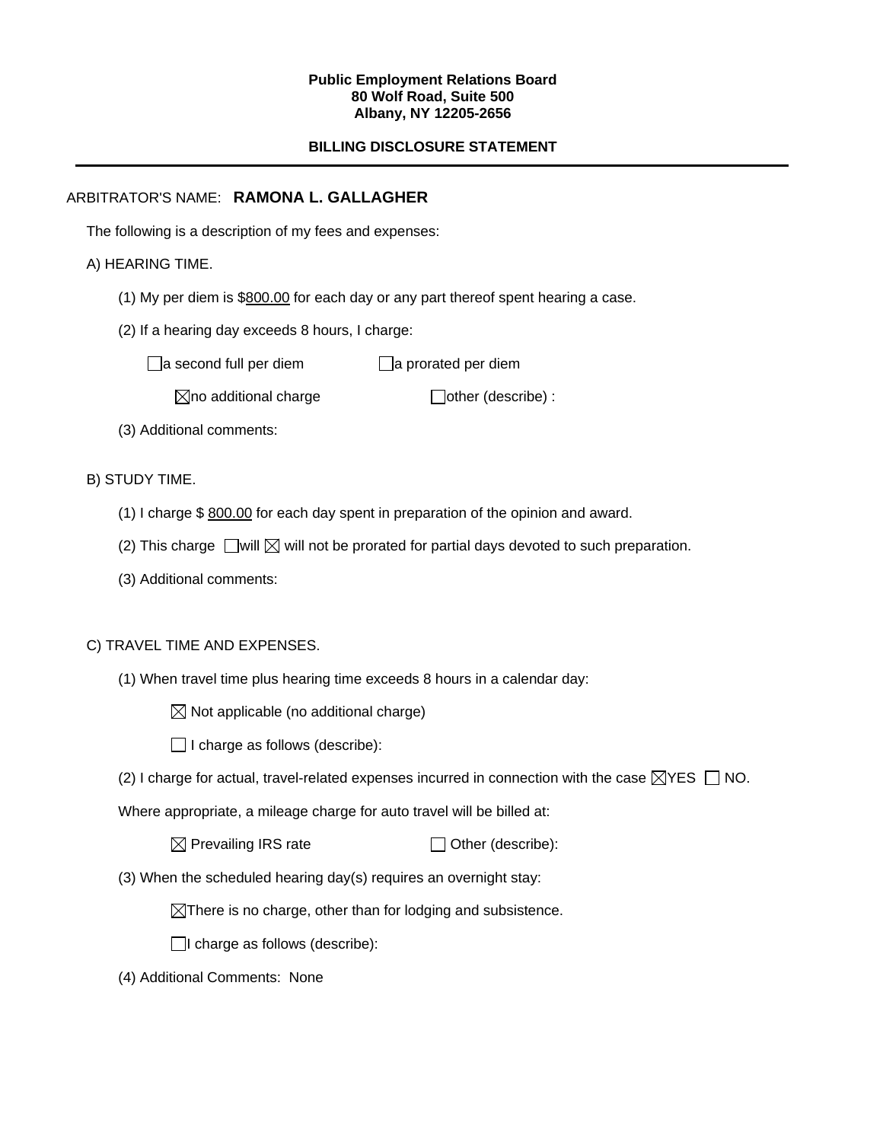#### **Public Employment Relations Board 80 Wolf Road, Suite 500 Albany, NY 12205-2656**

# **BILLING DISCLOSURE STATEMENT**

# ARBITRATOR'S NAME: **RAMONA L. GALLAGHER**

The following is a description of my fees and expenses:

# A) HEARING TIME.

- (1) My per diem is \$800.00 for each day or any part thereof spent hearing a case.
- (2) If a hearing day exceeds 8 hours, I charge:

 $\Box$ a second full per diem  $\Box$ a prorated per diem

 $\boxtimes$ no additional charge  $\Box$ other (describe) :

(3) Additional comments:

B) STUDY TIME.

- (1) I charge \$ 800.00 for each day spent in preparation of the opinion and award.
- (2) This charge  $\Box$  will  $\boxtimes$  will not be prorated for partial days devoted to such preparation.
- (3) Additional comments:

### C) TRAVEL TIME AND EXPENSES.

- (1) When travel time plus hearing time exceeds 8 hours in a calendar day:
	- $\boxtimes$  Not applicable (no additional charge)
	- $\Box$  I charge as follows (describe):
- (2) I charge for actual, travel-related expenses incurred in connection with the case  $\boxtimes$ YES  $\Box$  NO.

Where appropriate, a mileage charge for auto travel will be billed at:

 $\boxtimes$  Prevailing IRS rate  $\Box$  Other (describe):

(3) When the scheduled hearing day(s) requires an overnight stay:

 $\boxtimes$ There is no charge, other than for lodging and subsistence.

 $\Box$ I charge as follows (describe):

(4) Additional Comments: None